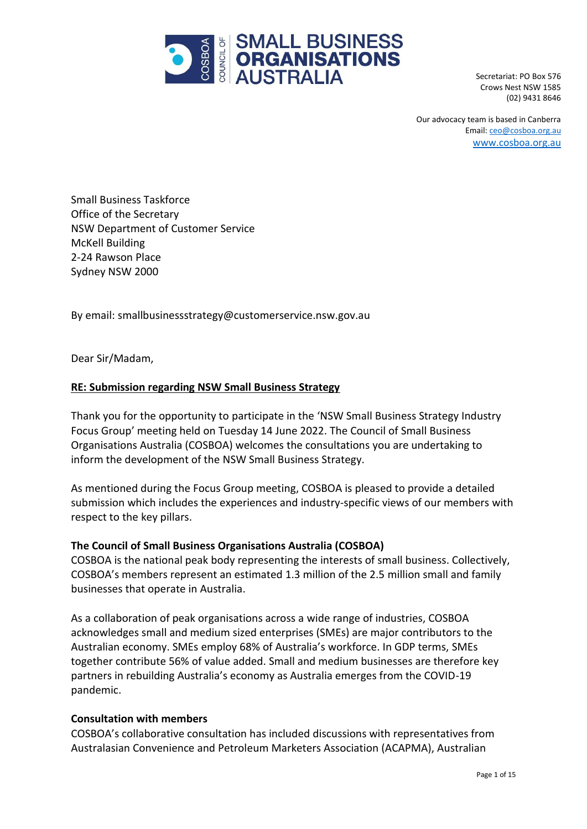

Secretariat: PO Box 576 Crows Nest NSW 1585 (02) 9431 8646

Our advocacy team is based in Canberra Email[: ceo@cosboa.org.au](mailto:alexi@cosboa.org.au) [www.cosboa.org.au](http://www.cosboa.org.au/)

Small Business Taskforce Office of the Secretary NSW Department of Customer Service McKell Building 2-24 Rawson Place Sydney NSW 2000

By email: smallbusinessstrategy@customerservice.nsw.gov.au

Dear Sir/Madam,

#### **RE: Submission regarding NSW Small Business Strategy**

Thank you for the opportunity to participate in the 'NSW Small Business Strategy Industry Focus Group' meeting held on Tuesday 14 June 2022. The Council of Small Business Organisations Australia (COSBOA) welcomes the consultations you are undertaking to inform the development of the NSW Small Business Strategy.

As mentioned during the Focus Group meeting, COSBOA is pleased to provide a detailed submission which includes the experiences and industry-specific views of our members with respect to the key pillars.

#### **The Council of Small Business Organisations Australia (COSBOA)**

COSBOA is the national peak body representing the interests of small business. Collectively, COSBOA's members represent an estimated 1.3 million of the 2.5 million small and family businesses that operate in Australia.

As a collaboration of peak organisations across a wide range of industries, COSBOA acknowledges small and medium sized enterprises (SMEs) are major contributors to the Australian economy. SMEs employ 68% of Australia's workforce. In GDP terms, SMEs together contribute 56% of value added. Small and medium businesses are therefore key partners in rebuilding Australia's economy as Australia emerges from the COVID-19 pandemic.

#### **Consultation with members**

COSBOA's collaborative consultation has included discussions with representatives from Australasian Convenience and Petroleum Marketers Association (ACAPMA), Australian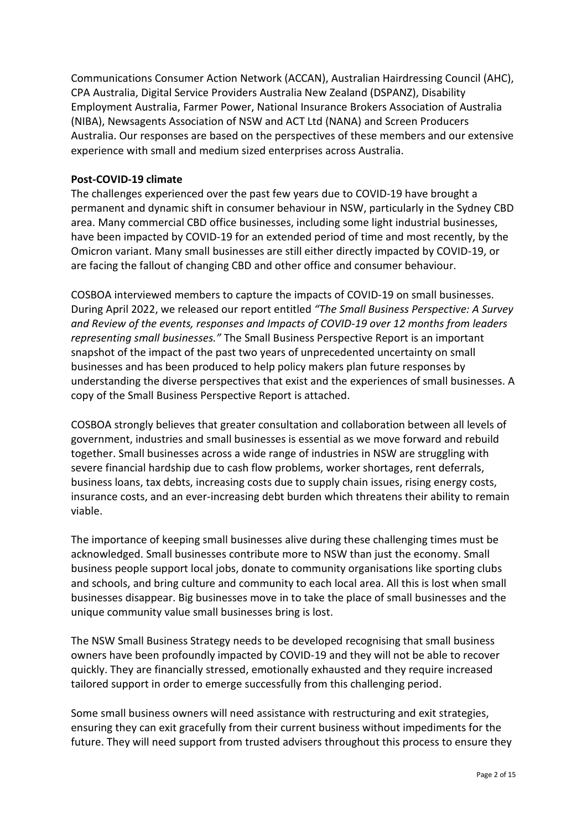Communications Consumer Action Network (ACCAN), Australian Hairdressing Council (AHC), CPA Australia, Digital Service Providers Australia New Zealand (DSPANZ), Disability Employment Australia, Farmer Power, National Insurance Brokers Association of Australia (NIBA), Newsagents Association of NSW and ACT Ltd (NANA) and Screen Producers Australia. Our responses are based on the perspectives of these members and our extensive experience with small and medium sized enterprises across Australia.

## **Post-COVID-19 climate**

The challenges experienced over the past few years due to COVID-19 have brought a permanent and dynamic shift in consumer behaviour in NSW, particularly in the Sydney CBD area. Many commercial CBD office businesses, including some light industrial businesses, have been impacted by COVID-19 for an extended period of time and most recently, by the Omicron variant. Many small businesses are still either directly impacted by COVID-19, or are facing the fallout of changing CBD and other office and consumer behaviour.

COSBOA interviewed members to capture the impacts of COVID-19 on small businesses. During April 2022, we released our report entitled *"The Small Business [Perspective:](https://12181f63-b7b9-4e2e-b33f-d3d17c4a6b46.filesusr.com/ugd/c7ffff_763707deb3ac41f98755da197b7050ab.pdf) A Survey and Review of the events, [responses](https://12181f63-b7b9-4e2e-b33f-d3d17c4a6b46.filesusr.com/ugd/c7ffff_763707deb3ac41f98755da197b7050ab.pdf) and Impacts of COVID-19 over 12 months from leaders [representing](https://12181f63-b7b9-4e2e-b33f-d3d17c4a6b46.filesusr.com/ugd/c7ffff_763707deb3ac41f98755da197b7050ab.pdf) small businesses."* The Small Business Perspective Report is an important snapshot of the impact of the past two years of unprecedented uncertainty on small businesses and has been produced to help policy makers plan future responses by understanding the diverse perspectives that exist and the experiences of small businesses. A copy of the Small Business Perspective Report is attached.

COSBOA strongly believes that greater consultation and collaboration between all levels of government, industries and small businesses is essential as we move forward and rebuild together. Small businesses across a wide range of industries in NSW are struggling with severe financial hardship due to cash flow problems, worker shortages, rent deferrals, business loans, tax debts, increasing costs due to supply chain issues, rising energy costs, insurance costs, and an ever-increasing debt burden which threatens their ability to remain viable.

The importance of keeping small businesses alive during these challenging times must be acknowledged. Small businesses contribute more to NSW than just the economy. Small business people support local jobs, donate to community organisations like sporting clubs and schools, and bring culture and community to each local area. All this is lost when small businesses disappear. Big businesses move in to take the place of small businesses and the unique community value small businesses bring is lost.

The NSW Small Business Strategy needs to be developed recognising that small business owners have been profoundly impacted by COVID-19 and they will not be able to recover quickly. They are financially stressed, emotionally exhausted and they require increased tailored support in order to emerge successfully from this challenging period.

Some small business owners will need assistance with restructuring and exit strategies, ensuring they can exit gracefully from their current business without impediments for the future. They will need support from trusted advisers throughout this process to ensure they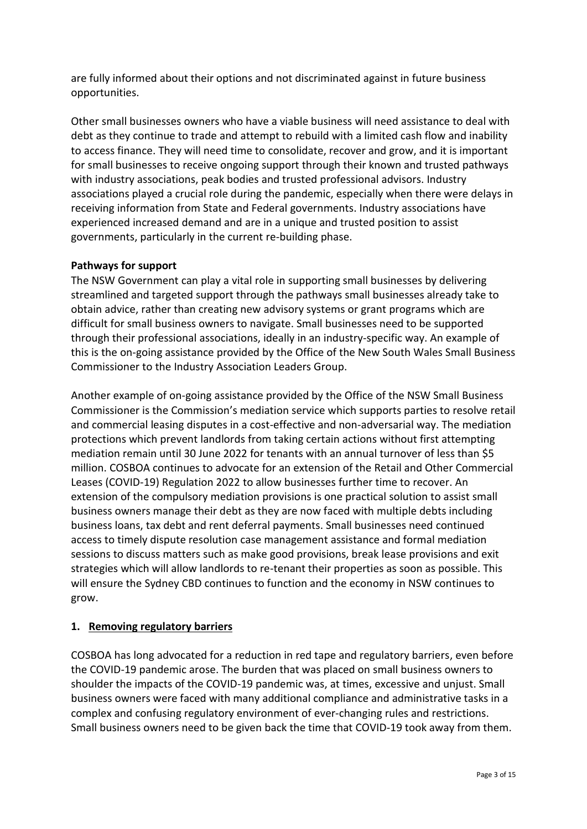are fully informed about their options and not discriminated against in future business opportunities.

Other small businesses owners who have a viable business will need assistance to deal with debt as they continue to trade and attempt to rebuild with a limited cash flow and inability to access finance. They will need time to consolidate, recover and grow, and it is important for small businesses to receive ongoing support through their known and trusted pathways with industry associations, peak bodies and trusted professional advisors. Industry associations played a crucial role during the pandemic, especially when there were delays in receiving information from State and Federal governments. Industry associations have experienced increased demand and are in a unique and trusted position to assist governments, particularly in the current re-building phase.

## **Pathways for support**

The NSW Government can play a vital role in supporting small businesses by delivering streamlined and targeted support through the pathways small businesses already take to obtain advice, rather than creating new advisory systems or grant programs which are difficult for small business owners to navigate. Small businesses need to be supported through their professional associations, ideally in an industry-specific way. An example of this is the on-going assistance provided by the Office of the New South Wales Small Business Commissioner to the Industry Association Leaders Group.

Another example of on-going assistance provided by the Office of the NSW Small Business Commissioner is the Commission's mediation service which supports parties to resolve retail and commercial leasing disputes in a cost-effective and non-adversarial way. The mediation protections which prevent landlords from taking certain actions without first attempting mediation remain until 30 June 2022 for tenants with an annual turnover of less than \$5 million. COSBOA continues to advocate for an extension of the Retail and Other Commercial Leases (COVID-19) Regulation 2022 to allow businesses further time to recover. An extension of the compulsory mediation provisions is one practical solution to assist small business owners manage their debt as they are now faced with multiple debts including business loans, tax debt and rent deferral payments. Small businesses need continued access to timely dispute resolution case management assistance and formal mediation sessions to discuss matters such as make good provisions, break lease provisions and exit strategies which will allow landlords to re-tenant their properties as soon as possible. This will ensure the Sydney CBD continues to function and the economy in NSW continues to grow.

## **1. Removing regulatory barriers**

COSBOA has long advocated for a reduction in red tape and regulatory barriers, even before the COVID-19 pandemic arose. The burden that was placed on small business owners to shoulder the impacts of the COVID-19 pandemic was, at times, excessive and unjust. Small business owners were faced with many additional compliance and administrative tasks in a complex and confusing regulatory environment of ever-changing rules and restrictions. Small business owners need to be given back the time that COVID-19 took away from them.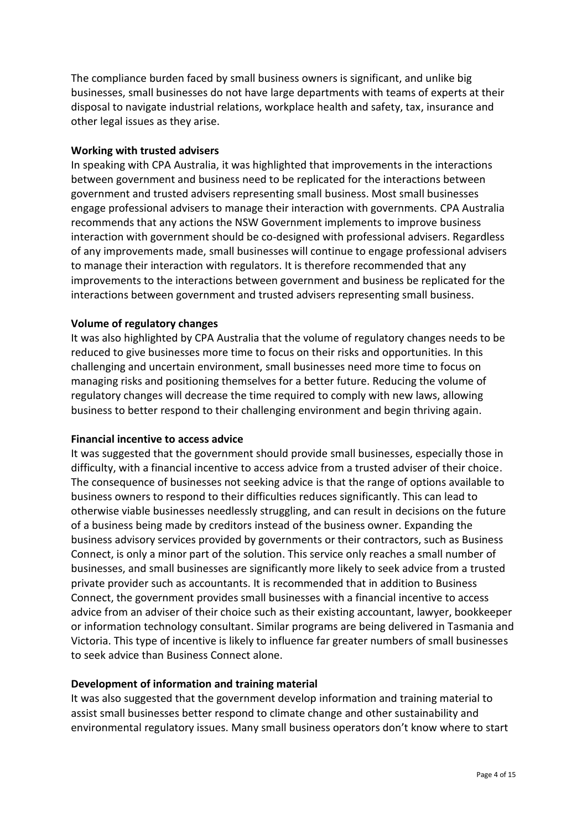The compliance burden faced by small business owners is significant, and unlike big businesses, small businesses do not have large departments with teams of experts at their disposal to navigate industrial relations, workplace health and safety, tax, insurance and other legal issues as they arise.

#### **Working with trusted advisers**

In speaking with CPA Australia, it was highlighted that improvements in the interactions between government and business need to be replicated for the interactions between government and trusted advisers representing small business. Most small businesses engage professional advisers to manage their interaction with governments. CPA Australia recommends that any actions the NSW Government implements to improve business interaction with government should be co-designed with professional advisers. Regardless of any improvements made, small businesses will continue to engage professional advisers to manage their interaction with regulators. It is therefore recommended that any improvements to the interactions between government and business be replicated for the interactions between government and trusted advisers representing small business.

#### **Volume of regulatory changes**

It was also highlighted by CPA Australia that the volume of regulatory changes needs to be reduced to give businesses more time to focus on their risks and opportunities. In this challenging and uncertain environment, small businesses need more time to focus on managing risks and positioning themselves for a better future. Reducing the volume of regulatory changes will decrease the time required to comply with new laws, allowing business to better respond to their challenging environment and begin thriving again.

#### **Financial incentive to access advice**

It was suggested that the government should provide small businesses, especially those in difficulty, with a financial incentive to access advice from a trusted adviser of their choice. The consequence of businesses not seeking advice is that the range of options available to business owners to respond to their difficulties reduces significantly. This can lead to otherwise viable businesses needlessly struggling, and can result in decisions on the future of a business being made by creditors instead of the business owner. Expanding the business advisory services provided by governments or their contractors, such as Business Connect, is only a minor part of the solution. This service only reaches a small number of businesses, and small businesses are significantly more likely to seek advice from a trusted private provider such as accountants. It is recommended that in addition to Business Connect, the government provides small businesses with a financial incentive to access advice from an adviser of their choice such as their existing accountant, lawyer, bookkeeper or information technology consultant. Similar programs are being delivered in Tasmania and Victoria. This type of incentive is likely to influence far greater numbers of small businesses to seek advice than Business Connect alone.

#### **Development of information and training material**

It was also suggested that the government develop information and training material to assist small businesses better respond to climate change and other sustainability and environmental regulatory issues. Many small business operators don't know where to start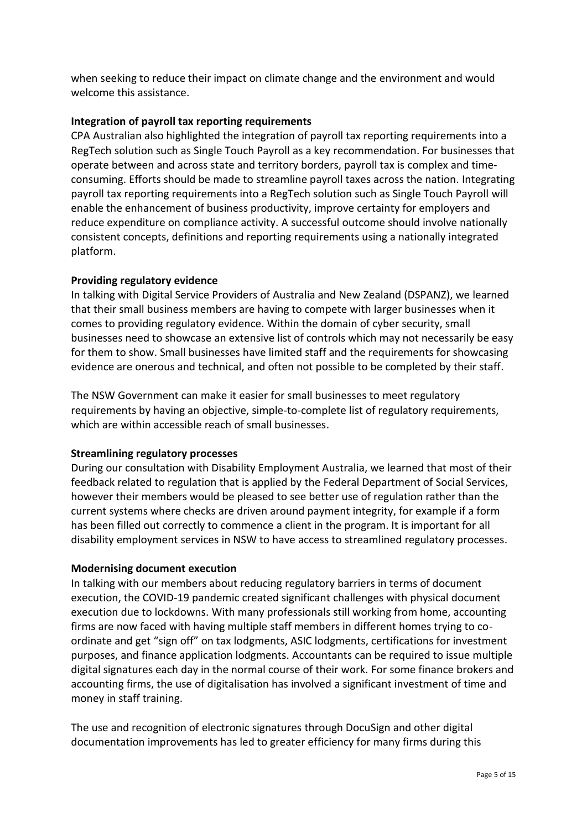when seeking to reduce their impact on climate change and the environment and would welcome this assistance.

# **Integration of payroll tax reporting requirements**

CPA Australian also highlighted the integration of payroll tax reporting requirements into a RegTech solution such as Single Touch Payroll as a key recommendation. For businesses that operate between and across state and territory borders, payroll tax is complex and timeconsuming. Efforts should be made to streamline payroll taxes across the nation. Integrating payroll tax reporting requirements into a RegTech solution such as Single Touch Payroll will enable the enhancement of business productivity, improve certainty for employers and reduce expenditure on compliance activity. A successful outcome should involve nationally consistent concepts, definitions and reporting requirements using a nationally integrated platform.

## **Providing regulatory evidence**

In talking with Digital Service Providers of Australia and New Zealand (DSPANZ), we learned that their small business members are having to compete with larger businesses when it comes to providing regulatory evidence. Within the domain of cyber security, small businesses need to showcase an extensive list of controls which may not necessarily be easy for them to show. Small businesses have limited staff and the requirements for showcasing evidence are onerous and technical, and often not possible to be completed by their staff.

The NSW Government can make it easier for small businesses to meet regulatory requirements by having an objective, simple-to-complete list of regulatory requirements, which are within accessible reach of small businesses.

## **Streamlining regulatory processes**

During our consultation with Disability Employment Australia, we learned that most of their feedback related to regulation that is applied by the Federal Department of Social Services, however their members would be pleased to see better use of regulation rather than the current systems where checks are driven around payment integrity, for example if a form has been filled out correctly to commence a client in the program. It is important for all disability employment services in NSW to have access to streamlined regulatory processes.

## **Modernising document execution**

In talking with our members about reducing regulatory barriers in terms of document execution, the COVID-19 pandemic created significant challenges with physical document execution due to lockdowns. With many professionals still working from home, accounting firms are now faced with having multiple staff members in different homes trying to coordinate and get "sign off" on tax lodgments, ASIC lodgments, certifications for investment purposes, and finance application lodgments. Accountants can be required to issue multiple digital signatures each day in the normal course of their work. For some finance brokers and accounting firms, the use of digitalisation has involved a significant investment of time and money in staff training.

The use and recognition of electronic signatures through DocuSign and other digital documentation improvements has led to greater efficiency for many firms during this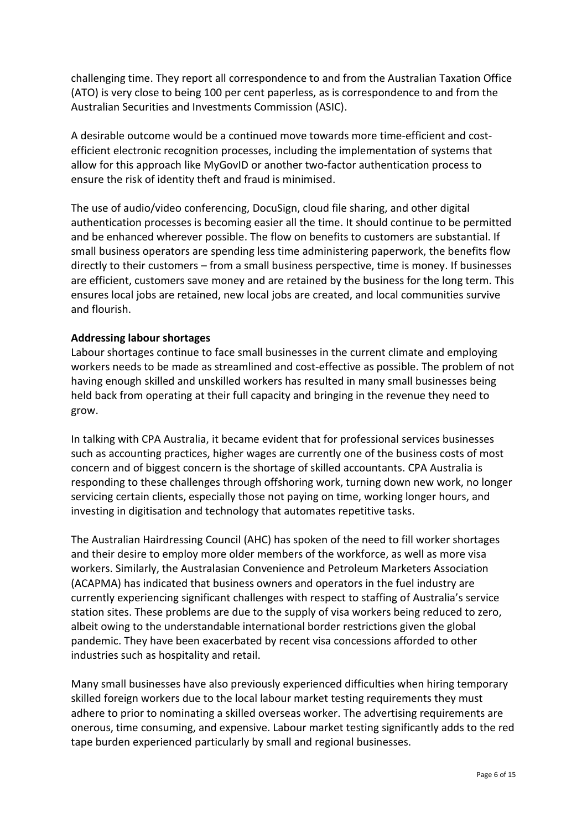challenging time. They report all correspondence to and from the Australian Taxation Office (ATO) is very close to being 100 per cent paperless, as is correspondence to and from the Australian Securities and Investments Commission (ASIC).

A desirable outcome would be a continued move towards more time-efficient and costefficient electronic recognition processes, including the implementation of systems that allow for this approach like MyGovID or another two-factor authentication process to ensure the risk of identity theft and fraud is minimised.

The use of audio/video conferencing, DocuSign, cloud file sharing, and other digital authentication processes is becoming easier all the time. It should continue to be permitted and be enhanced wherever possible. The flow on benefits to customers are substantial. If small business operators are spending less time administering paperwork, the benefits flow directly to their customers – from a small business perspective, time is money. If businesses are efficient, customers save money and are retained by the business for the long term. This ensures local jobs are retained, new local jobs are created, and local communities survive and flourish.

## **Addressing labour shortages**

Labour shortages continue to face small businesses in the current climate and employing workers needs to be made as streamlined and cost-effective as possible. The problem of not having enough skilled and unskilled workers has resulted in many small businesses being held back from operating at their full capacity and bringing in the revenue they need to grow.

In talking with CPA Australia, it became evident that for professional services businesses such as accounting practices, higher wages are currently one of the business costs of most concern and of biggest concern is the shortage of skilled accountants. CPA Australia is responding to these challenges through offshoring work, turning down new work, no longer servicing certain clients, especially those not paying on time, working longer hours, and investing in digitisation and technology that automates repetitive tasks.

The Australian Hairdressing Council (AHC) has spoken of the need to fill worker shortages and their desire to employ more older members of the workforce, as well as more visa workers. Similarly, the Australasian Convenience and Petroleum Marketers Association (ACAPMA) has indicated that business owners and operators in the fuel industry are currently experiencing significant challenges with respect to staffing of Australia's service station sites. These problems are due to the supply of visa workers being reduced to zero, albeit owing to the understandable international border restrictions given the global pandemic. They have been exacerbated by recent visa concessions afforded to other industries such as hospitality and retail.

Many small businesses have also previously experienced difficulties when hiring temporary skilled foreign workers due to the local labour market testing requirements they must adhere to prior to nominating a skilled overseas worker. The advertising requirements are onerous, time consuming, and expensive. Labour market testing significantly adds to the red tape burden experienced particularly by small and regional businesses.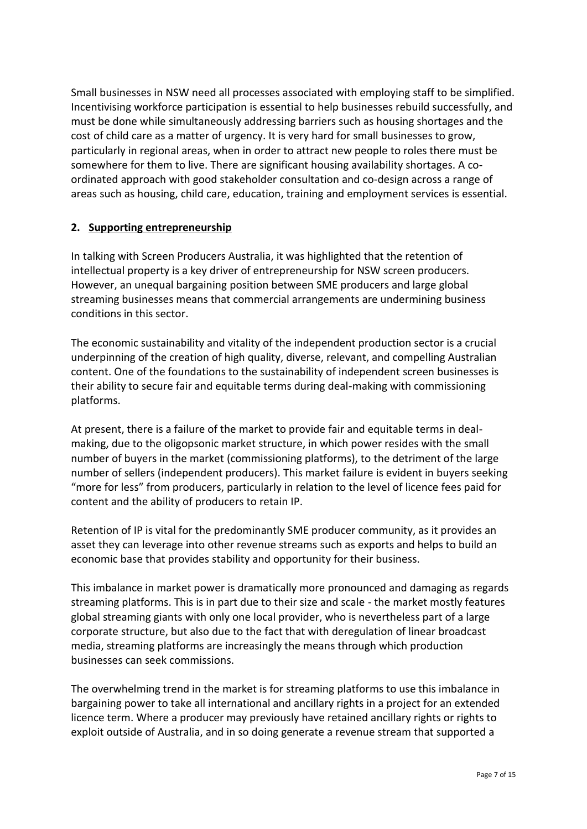Small businesses in NSW need all processes associated with employing staff to be simplified. Incentivising workforce participation is essential to help businesses rebuild successfully, and must be done while simultaneously addressing barriers such as housing shortages and the cost of child care as a matter of urgency. It is very hard for small businesses to grow, particularly in regional areas, when in order to attract new people to roles there must be somewhere for them to live. There are significant housing availability shortages. A coordinated approach with good stakeholder consultation and co-design across a range of areas such as housing, child care, education, training and employment services is essential.

# **2. Supporting entrepreneurship**

In talking with Screen Producers Australia, it was highlighted that the retention of intellectual property is a key driver of entrepreneurship for NSW screen producers. However, an unequal bargaining position between SME producers and large global streaming businesses means that commercial arrangements are undermining business conditions in this sector.

The economic sustainability and vitality of the independent production sector is a crucial underpinning of the creation of high quality, diverse, relevant, and compelling Australian content. One of the foundations to the sustainability of independent screen businesses is their ability to secure fair and equitable terms during deal-making with commissioning platforms.

At present, there is a failure of the market to provide fair and equitable terms in dealmaking, due to the oligopsonic market structure, in which power resides with the small number of buyers in the market (commissioning platforms), to the detriment of the large number of sellers (independent producers). This market failure is evident in buyers seeking "more for less" from producers, particularly in relation to the level of licence fees paid for content and the ability of producers to retain IP.

Retention of IP is vital for the predominantly SME producer community, as it provides an asset they can leverage into other revenue streams such as exports and helps to build an economic base that provides stability and opportunity for their business.

This imbalance in market power is dramatically more pronounced and damaging as regards streaming platforms. This is in part due to their size and scale - the market mostly features global streaming giants with only one local provider, who is nevertheless part of a large corporate structure, but also due to the fact that with deregulation of linear broadcast media, streaming platforms are increasingly the means through which production businesses can seek commissions.

The overwhelming trend in the market is for streaming platforms to use this imbalance in bargaining power to take all international and ancillary rights in a project for an extended licence term. Where a producer may previously have retained ancillary rights or rights to exploit outside of Australia, and in so doing generate a revenue stream that supported a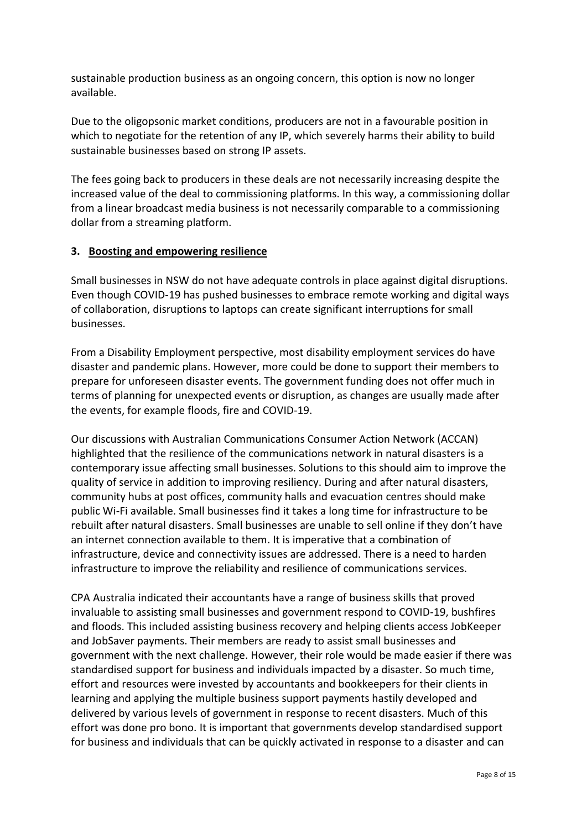sustainable production business as an ongoing concern, this option is now no longer available.

Due to the oligopsonic market conditions, producers are not in a favourable position in which to negotiate for the retention of any IP, which severely harms their ability to build sustainable businesses based on strong IP assets.

The fees going back to producers in these deals are not necessarily increasing despite the increased value of the deal to commissioning platforms. In this way, a commissioning dollar from a linear broadcast media business is not necessarily comparable to a commissioning dollar from a streaming platform.

## **3. Boosting and empowering resilience**

Small businesses in NSW do not have adequate controls in place against digital disruptions. Even though COVID-19 has pushed businesses to embrace remote working and digital ways of collaboration, disruptions to laptops can create significant interruptions for small businesses.

From a Disability Employment perspective, most disability employment services do have disaster and pandemic plans. However, more could be done to support their members to prepare for unforeseen disaster events. The government funding does not offer much in terms of planning for unexpected events or disruption, as changes are usually made after the events, for example floods, fire and COVID-19.

Our discussions with Australian Communications Consumer Action Network (ACCAN) highlighted that the resilience of the communications network in natural disasters is a contemporary issue affecting small businesses. Solutions to this should aim to improve the quality of service in addition to improving resiliency. During and after natural disasters, community hubs at post offices, community halls and evacuation centres should make public Wi-Fi available. Small businesses find it takes a long time for infrastructure to be rebuilt after natural disasters. Small businesses are unable to sell online if they don't have an internet connection available to them. It is imperative that a combination of infrastructure, device and connectivity issues are addressed. There is a need to harden infrastructure to improve the reliability and resilience of communications services.

CPA Australia indicated their accountants have a range of business skills that proved invaluable to assisting small businesses and government respond to COVID-19, bushfires and floods. This included assisting business recovery and helping clients access JobKeeper and JobSaver payments. Their members are ready to assist small businesses and government with the next challenge. However, their role would be made easier if there was standardised support for business and individuals impacted by a disaster. So much time, effort and resources were invested by accountants and bookkeepers for their clients in learning and applying the multiple business support payments hastily developed and delivered by various levels of government in response to recent disasters. Much of this effort was done pro bono. It is important that governments develop standardised support for business and individuals that can be quickly activated in response to a disaster and can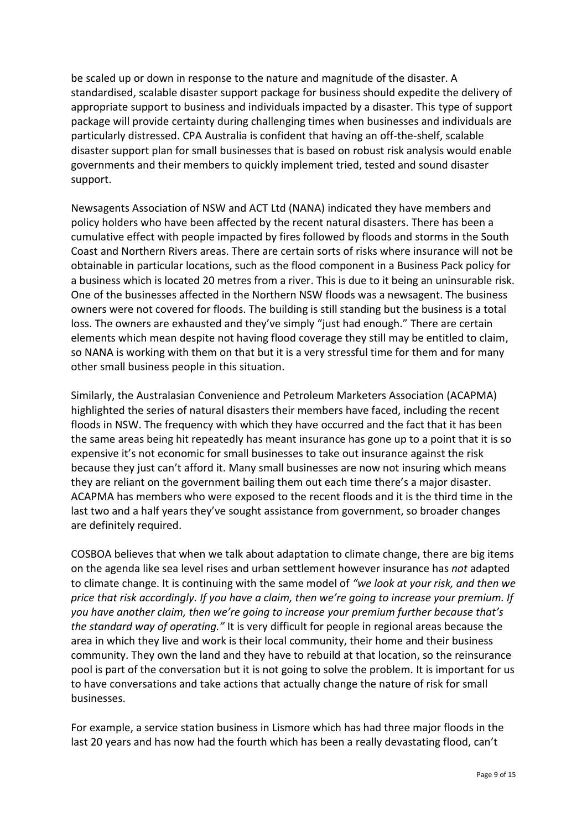be scaled up or down in response to the nature and magnitude of the disaster. A standardised, scalable disaster support package for business should expedite the delivery of appropriate support to business and individuals impacted by a disaster. This type of support package will provide certainty during challenging times when businesses and individuals are particularly distressed. CPA Australia is confident that having an off-the-shelf, scalable disaster support plan for small businesses that is based on robust risk analysis would enable governments and their members to quickly implement tried, tested and sound disaster support.

Newsagents Association of NSW and ACT Ltd (NANA) indicated they have members and policy holders who have been affected by the recent natural disasters. There has been a cumulative effect with people impacted by fires followed by floods and storms in the South Coast and Northern Rivers areas. There are certain sorts of risks where insurance will not be obtainable in particular locations, such as the flood component in a Business Pack policy for a business which is located 20 metres from a river. This is due to it being an uninsurable risk. One of the businesses affected in the Northern NSW floods was a newsagent. The business owners were not covered for floods. The building is still standing but the business is a total loss. The owners are exhausted and they've simply "just had enough." There are certain elements which mean despite not having flood coverage they still may be entitled to claim, so NANA is working with them on that but it is a very stressful time for them and for many other small business people in this situation.

Similarly, the Australasian Convenience and Petroleum Marketers Association (ACAPMA) highlighted the series of natural disasters their members have faced, including the recent floods in NSW. The frequency with which they have occurred and the fact that it has been the same areas being hit repeatedly has meant insurance has gone up to a point that it is so expensive it's not economic for small businesses to take out insurance against the risk because they just can't afford it. Many small businesses are now not insuring which means they are reliant on the government bailing them out each time there's a major disaster. ACAPMA has members who were exposed to the recent floods and it is the third time in the last two and a half years they've sought assistance from government, so broader changes are definitely required.

COSBOA believes that when we talk about adaptation to climate change, there are big items on the agenda like sea level rises and urban settlement however insurance has *not* adapted to climate change. It is continuing with the same model of *"we look at your risk, and then we price that risk accordingly. If you have a claim, then we're going to increase your premium. If you have another claim, then we're going to increase your premium further because that's the standard way of operating."* It is very difficult for people in regional areas because the area in which they live and work is their local community, their home and their business community. They own the land and they have to rebuild at that location, so the reinsurance pool is part of the conversation but it is not going to solve the problem. It is important for us to have conversations and take actions that actually change the nature of risk for small businesses.

For example, a service station business in Lismore which has had three major floods in the last 20 years and has now had the fourth which has been a really devastating flood, can't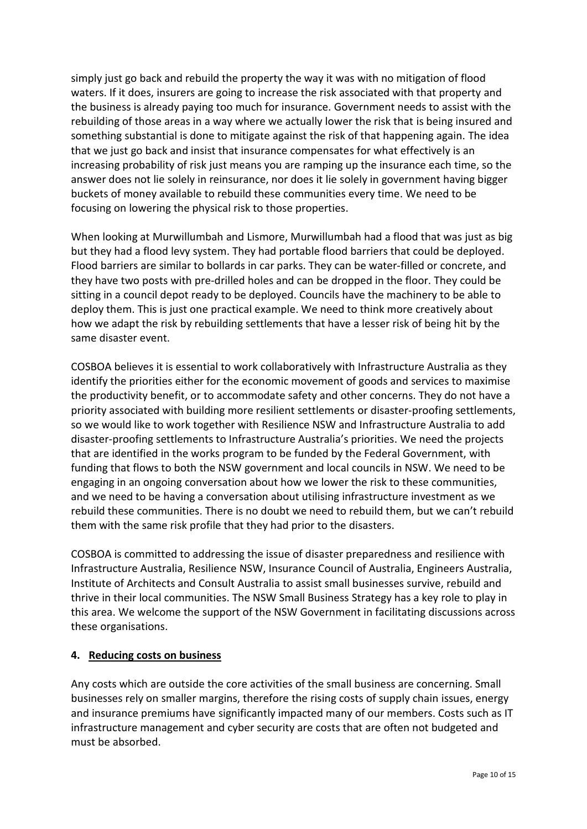simply just go back and rebuild the property the way it was with no mitigation of flood waters. If it does, insurers are going to increase the risk associated with that property and the business is already paying too much for insurance. Government needs to assist with the rebuilding of those areas in a way where we actually lower the risk that is being insured and something substantial is done to mitigate against the risk of that happening again. The idea that we just go back and insist that insurance compensates for what effectively is an increasing probability of risk just means you are ramping up the insurance each time, so the answer does not lie solely in reinsurance, nor does it lie solely in government having bigger buckets of money available to rebuild these communities every time. We need to be focusing on lowering the physical risk to those properties.

When looking at Murwillumbah and Lismore, Murwillumbah had a flood that was just as big but they had a flood levy system. They had portable flood barriers that could be deployed. Flood barriers are similar to bollards in car parks. They can be water-filled or concrete, and they have two posts with pre-drilled holes and can be dropped in the floor. They could be sitting in a council depot ready to be deployed. Councils have the machinery to be able to deploy them. This is just one practical example. We need to think more creatively about how we adapt the risk by rebuilding settlements that have a lesser risk of being hit by the same disaster event.

COSBOA believes it is essential to work collaboratively with Infrastructure Australia as they identify the priorities either for the economic movement of goods and services to maximise the productivity benefit, or to accommodate safety and other concerns. They do not have a priority associated with building more resilient settlements or disaster-proofing settlements, so we would like to work together with Resilience NSW and Infrastructure Australia to add disaster-proofing settlements to Infrastructure Australia's priorities. We need the projects that are identified in the works program to be funded by the Federal Government, with funding that flows to both the NSW government and local councils in NSW. We need to be engaging in an ongoing conversation about how we lower the risk to these communities, and we need to be having a conversation about utilising infrastructure investment as we rebuild these communities. There is no doubt we need to rebuild them, but we can't rebuild them with the same risk profile that they had prior to the disasters.

COSBOA is committed to addressing the issue of disaster preparedness and resilience with Infrastructure Australia, Resilience NSW, Insurance Council of Australia, Engineers Australia, Institute of Architects and Consult Australia to assist small businesses survive, rebuild and thrive in their local communities. The NSW Small Business Strategy has a key role to play in this area. We welcome the support of the NSW Government in facilitating discussions across these organisations.

# **4. Reducing costs on business**

Any costs which are outside the core activities of the small business are concerning. Small businesses rely on smaller margins, therefore the rising costs of supply chain issues, energy and insurance premiums have significantly impacted many of our members. Costs such as IT infrastructure management and cyber security are costs that are often not budgeted and must be absorbed.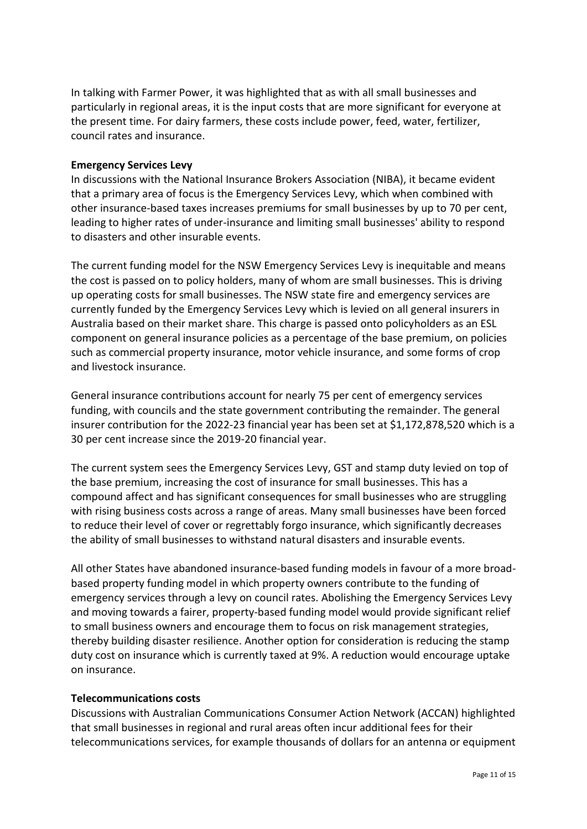In talking with Farmer Power, it was highlighted that as with all small businesses and particularly in regional areas, it is the input costs that are more significant for everyone at the present time. For dairy farmers, these costs include power, feed, water, fertilizer, council rates and insurance.

## **Emergency Services Levy**

In discussions with the National Insurance Brokers Association (NIBA), it became evident that a primary area of focus is the Emergency Services Levy, which when combined with other insurance-based taxes increases premiums for small businesses by up to 70 per cent, leading to higher rates of under-insurance and limiting small businesses' ability to respond to disasters and other insurable events.

The current funding model for the NSW Emergency Services Levy is inequitable and means the cost is passed on to policy holders, many of whom are small businesses. This is driving up operating costs for small businesses. The NSW state fire and emergency services are currently funded by the Emergency Services Levy which is levied on all general insurers in Australia based on their market share. This charge is passed onto policyholders as an ESL component on general insurance policies as a percentage of the base premium, on policies such as commercial property insurance, motor vehicle insurance, and some forms of crop and livestock insurance.

General insurance contributions account for nearly 75 per cent of emergency services funding, with councils and the state government contributing the remainder. The general insurer contribution for the 2022-23 financial year has been set at \$1,172,878,520 which is a 30 per cent increase since the 2019-20 financial year.

The current system sees the Emergency Services Levy, GST and stamp duty levied on top of the base premium, increasing the cost of insurance for small businesses. This has a compound affect and has significant consequences for small businesses who are struggling with rising business costs across a range of areas. Many small businesses have been forced to reduce their level of cover or regrettably forgo insurance, which significantly decreases the ability of small businesses to withstand natural disasters and insurable events.

All other States have abandoned insurance-based funding models in favour of a more broadbased property funding model in which property owners contribute to the funding of emergency services through a levy on council rates. Abolishing the Emergency Services Levy and moving towards a fairer, property-based funding model would provide significant relief to small business owners and encourage them to focus on risk management strategies, thereby building disaster resilience. Another option for consideration is reducing the stamp duty cost on insurance which is currently taxed at 9%. A reduction would encourage uptake on insurance.

#### **Telecommunications costs**

Discussions with Australian Communications Consumer Action Network (ACCAN) highlighted that small businesses in regional and rural areas often incur additional fees for their telecommunications services, for example thousands of dollars for an antenna or equipment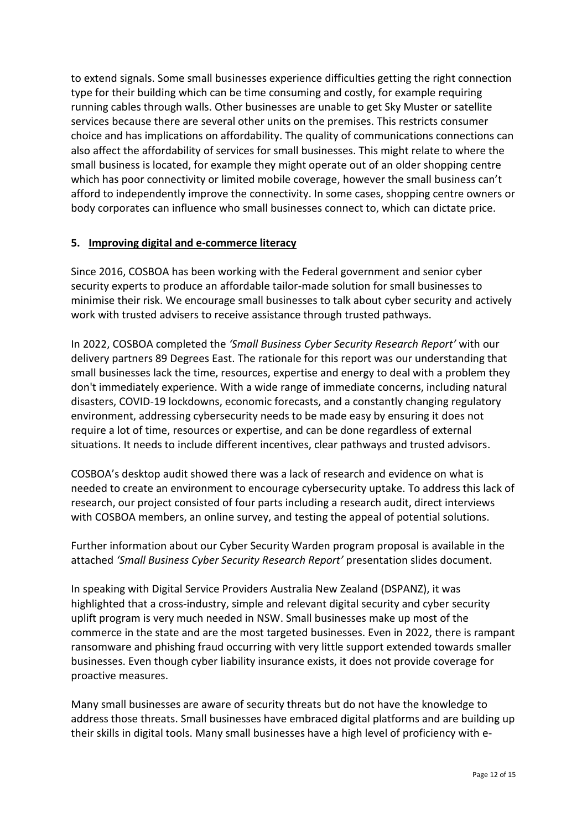to extend signals. Some small businesses experience difficulties getting the right connection type for their building which can be time consuming and costly, for example requiring running cables through walls. Other businesses are unable to get Sky Muster or satellite services because there are several other units on the premises. This restricts consumer choice and has implications on affordability. The quality of communications connections can also affect the affordability of services for small businesses. This might relate to where the small business is located, for example they might operate out of an older shopping centre which has poor connectivity or limited mobile coverage, however the small business can't afford to independently improve the connectivity. In some cases, shopping centre owners or body corporates can influence who small businesses connect to, which can dictate price.

# **5. Improving digital and e-commerce literacy**

Since 2016, COSBOA has been working with the Federal government and senior cyber security experts to produce an affordable tailor-made solution for small businesses to minimise their risk. We encourage small businesses to talk about cyber security and actively work with trusted advisers to receive assistance through trusted pathways.

In 2022, COSBOA completed the *'Small Business Cyber Security Research Report'* with our delivery partners 89 Degrees East. The rationale for this report was our understanding that small businesses lack the time, resources, expertise and energy to deal with a problem they don't immediately experience. With a wide range of immediate concerns, including natural disasters, COVID-19 lockdowns, economic forecasts, and a constantly changing regulatory environment, addressing cybersecurity needs to be made easy by ensuring it does not require a lot of time, resources or expertise, and can be done regardless of external situations. It needs to include different incentives, clear pathways and trusted advisors.

COSBOA's desktop audit showed there was a lack of research and evidence on what is needed to create an environment to encourage cybersecurity uptake. To address this lack of research, our project consisted of four parts including a research audit, direct interviews with COSBOA members, an online survey, and testing the appeal of potential solutions.

Further information about our Cyber Security Warden program proposal is available in the attached *'Small Business Cyber Security Research Report'* presentation slides document.

In speaking with Digital Service Providers Australia New Zealand (DSPANZ), it was highlighted that a cross-industry, simple and relevant digital security and cyber security uplift program is very much needed in NSW. Small businesses make up most of the commerce in the state and are the most targeted businesses. Even in 2022, there is rampant ransomware and phishing fraud occurring with very little support extended towards smaller businesses. Even though cyber liability insurance exists, it does not provide coverage for proactive measures.

Many small businesses are aware of security threats but do not have the knowledge to address those threats. Small businesses have embraced digital platforms and are building up their skills in digital tools. Many small businesses have a high level of proficiency with e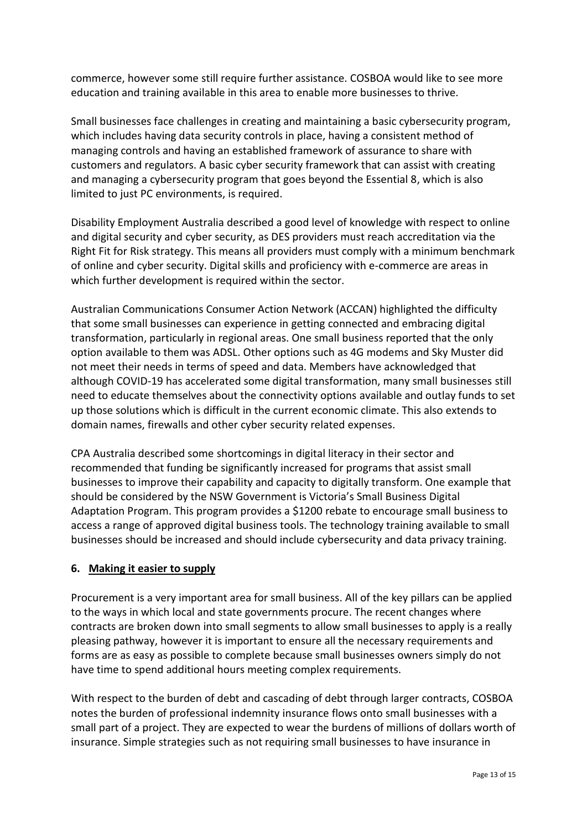commerce, however some still require further assistance. COSBOA would like to see more education and training available in this area to enable more businesses to thrive.

Small businesses face challenges in creating and maintaining a basic cybersecurity program, which includes having data security controls in place, having a consistent method of managing controls and having an established framework of assurance to share with customers and regulators. A basic cyber security framework that can assist with creating and managing a cybersecurity program that goes beyond the Essential 8, which is also limited to just PC environments, is required.

Disability Employment Australia described a good level of knowledge with respect to online and digital security and cyber security, as DES providers must reach accreditation via the Right Fit for Risk strategy. This means all providers must comply with a minimum benchmark of online and cyber security. Digital skills and proficiency with e-commerce are areas in which further development is required within the sector.

Australian Communications Consumer Action Network (ACCAN) highlighted the difficulty that some small businesses can experience in getting connected and embracing digital transformation, particularly in regional areas. One small business reported that the only option available to them was ADSL. Other options such as 4G modems and Sky Muster did not meet their needs in terms of speed and data. Members have acknowledged that although COVID-19 has accelerated some digital transformation, many small businesses still need to educate themselves about the connectivity options available and outlay funds to set up those solutions which is difficult in the current economic climate. This also extends to domain names, firewalls and other cyber security related expenses.

CPA Australia described some shortcomings in digital literacy in their sector and recommended that funding be significantly increased for programs that assist small businesses to improve their capability and capacity to digitally transform. One example that should be considered by the NSW Government is Victoria's Small Business Digital Adaptation Program. This program provides a \$1200 rebate to encourage small business to access a range of approved digital business tools. The technology training available to small businesses should be increased and should include cybersecurity and data privacy training.

# **6. Making it easier to supply**

Procurement is a very important area for small business. All of the key pillars can be applied to the ways in which local and state governments procure. The recent changes where contracts are broken down into small segments to allow small businesses to apply is a really pleasing pathway, however it is important to ensure all the necessary requirements and forms are as easy as possible to complete because small businesses owners simply do not have time to spend additional hours meeting complex requirements.

With respect to the burden of debt and cascading of debt through larger contracts, COSBOA notes the burden of professional indemnity insurance flows onto small businesses with a small part of a project. They are expected to wear the burdens of millions of dollars worth of insurance. Simple strategies such as not requiring small businesses to have insurance in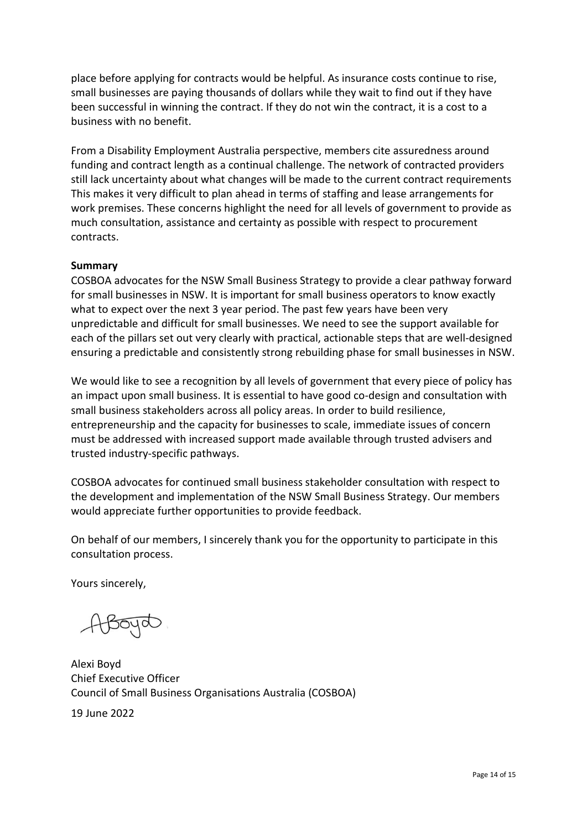place before applying for contracts would be helpful. As insurance costs continue to rise, small businesses are paying thousands of dollars while they wait to find out if they have been successful in winning the contract. If they do not win the contract, it is a cost to a business with no benefit.

From a Disability Employment Australia perspective, members cite assuredness around funding and contract length as a continual challenge. The network of contracted providers still lack uncertainty about what changes will be made to the current contract requirements This makes it very difficult to plan ahead in terms of staffing and lease arrangements for work premises. These concerns highlight the need for all levels of government to provide as much consultation, assistance and certainty as possible with respect to procurement contracts.

#### **Summary**

COSBOA advocates for the NSW Small Business Strategy to provide a clear pathway forward for small businesses in NSW. It is important for small business operators to know exactly what to expect over the next 3 year period. The past few years have been very unpredictable and difficult for small businesses. We need to see the support available for each of the pillars set out very clearly with practical, actionable steps that are well-designed ensuring a predictable and consistently strong rebuilding phase for small businesses in NSW.

We would like to see a recognition by all levels of government that every piece of policy has an impact upon small business. It is essential to have good co-design and consultation with small business stakeholders across all policy areas. In order to build resilience, entrepreneurship and the capacity for businesses to scale, immediate issues of concern must be addressed with increased support made available through trusted advisers and trusted industry-specific pathways.

COSBOA advocates for continued small business stakeholder consultation with respect to the development and implementation of the NSW Small Business Strategy. Our members would appreciate further opportunities to provide feedback.

On behalf of our members, I sincerely thank you for the opportunity to participate in this consultation process.

Yours sincerely,

ABoyd

Alexi Boyd Chief Executive Officer Council of Small Business Organisations Australia (COSBOA)

19 June 2022